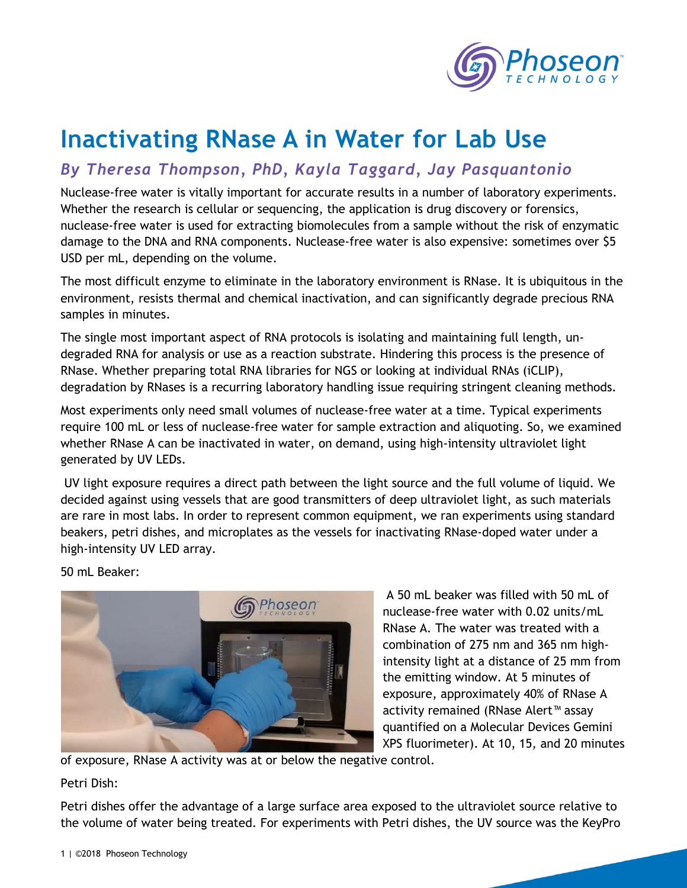

## **Inactivating RNase A in Water for Lab Use**

## *By Theresa Thompson, PhD, Kayla Taggard, Jay Pasquantonio*

Nuclease-free water is vitally important for accurate results in a number of laboratory experiments. Whether the research is cellular or sequencing, the application is drug discovery or forensics, nuclease-free water is used for extracting biomolecules from a sample without the risk of enzymatic damage to the DNA and RNA components. Nuclease-free water is also expensive: sometimes over \$5 USD per mL, depending on the volume.

The most difficult enzyme to eliminate in the laboratory environment is RNase. It is ubiquitous in the environment, resists thermal and chemical inactivation, and can significantly degrade precious RNA samples in minutes.

The single most important aspect of RNA protocols is isolating and maintaining full length, undegraded RNA for analysis or use as a reaction substrate. Hindering this process is the presence of RNase. Whether preparing total RNA libraries for NGS or looking at individual RNAs (iCLIP), degradation by RNases is a recurring laboratory handling issue requiring stringent cleaning methods.

Most experiments only need small volumes of nuclease-free water at a time. Typical experiments require 100 mL or less of nuclease-free water for sample extraction and aliquoting. So, we examined whether RNase A can be inactivated in water, on demand, using high-intensity ultraviolet light generated by UV LEDs.

UV light exposure requires a direct path between the light source and the full volume of liquid. We decided against using vessels that are good transmitters of deep ultraviolet light, as such materials are rare in most labs. In order to represent common equipment, we ran experiments using standard beakers, petri dishes, and microplates as the vessels for inactivating RNase-doped water under a high-intensity UV LED array.

50 mL Beaker:



A 50 mL beaker was filled with 50 mL of nuclease-free water with 0.02 units/mL RNase A. The water was treated with a combination of 275 nm and 365 nm highintensity light at a distance of 25 mm from the emitting window. At 5 minutes of exposure, approximately 40% of RNase A activity remained (RNase Alert™ assay quantified on a Molecular Devices Gemini XPS fluorimeter). At 10, 15, and 20 minutes

of exposure, RNase A activity was at or below the negative control.

Petri Dish:

Petri dishes offer the advantage of a large surface area exposed to the ultraviolet source relative to the volume of water being treated. For experiments with Petri dishes, the UV source was the KeyPro